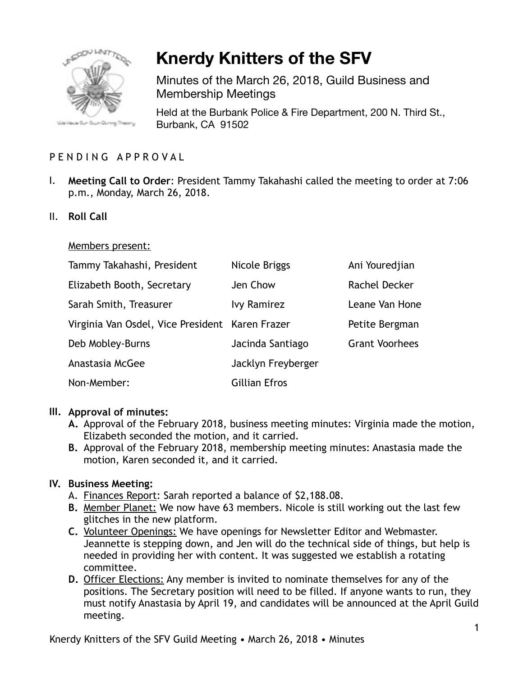

# **Knerdy Knitters of the SFV**

Minutes of the March 26, 2018, Guild Business and Membership Meetings

Held at the Burbank Police & Fire Department, 200 N. Third St., Burbank, CA 91502

## PENDING APPROVAL

- I. **Meeting Call to Order**: President Tammy Takahashi called the meeting to order at 7:06 p.m., Monday, March 26, 2018.
- II. **Roll Call**

#### Members present:

| Tammy Takahashi, President                      | Nicole Briggs        | Ani Youredjian        |
|-------------------------------------------------|----------------------|-----------------------|
| Elizabeth Booth, Secretary                      | Jen Chow             | Rachel Decker         |
| Sarah Smith, Treasurer                          | <b>Ivy Ramirez</b>   | Leane Van Hone        |
| Virginia Van Osdel, Vice President Karen Frazer |                      | Petite Bergman        |
| Deb Mobley-Burns                                | Jacinda Santiago     | <b>Grant Voorhees</b> |
| Anastasia McGee                                 | Jacklyn Freyberger   |                       |
| Non-Member:                                     | <b>Gillian Efros</b> |                       |

## **III. Approval of minutes:**

- **A.** Approval of the February 2018, business meeting minutes: Virginia made the motion, Elizabeth seconded the motion, and it carried.
- **B.** Approval of the February 2018, membership meeting minutes: Anastasia made the motion, Karen seconded it, and it carried.

## **IV. Business Meeting:**

- A. Finances Report: Sarah reported a balance of \$2,188.08.
- **B.** Member Planet: We now have 63 members. Nicole is still working out the last few glitches in the new platform.
- **C.** Volunteer Openings: We have openings for Newsletter Editor and Webmaster. Jeannette is stepping down, and Jen will do the technical side of things, but help is needed in providing her with content. It was suggested we establish a rotating committee.
- **D.** Officer Elections: Any member is invited to nominate themselves for any of the positions. The Secretary position will need to be filled. If anyone wants to run, they must notify Anastasia by April 19, and candidates will be announced at the April Guild meeting.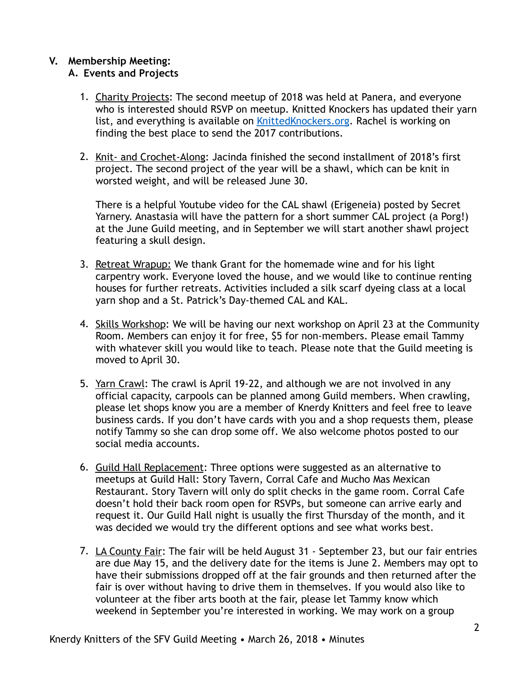#### **V. Membership Meeting: A. Events and Projects**

- 1. Charity Projects: The second meetup of 2018 was held at Panera, and everyone who is interested should RSVP on meetup. Knitted Knockers has updated their yarn list, and everything is available on **KnittedKnockers.org**. Rachel is working on finding the best place to send the 2017 contributions.
- 2. Knit- and Crochet-Along: Jacinda finished the second installment of 2018's first project. The second project of the year will be a shawl, which can be knit in worsted weight, and will be released June 30.

There is a helpful Youtube video for the CAL shawl (Erigeneia) posted by Secret Yarnery. Anastasia will have the pattern for a short summer CAL project (a Porg!) at the June Guild meeting, and in September we will start another shawl project featuring a skull design.

- 3. Retreat Wrapup: We thank Grant for the homemade wine and for his light carpentry work. Everyone loved the house, and we would like to continue renting houses for further retreats. Activities included a silk scarf dyeing class at a local yarn shop and a St. Patrick's Day-themed CAL and KAL.
- 4. Skills Workshop: We will be having our next workshop on April 23 at the Community Room. Members can enjoy it for free, \$5 for non-members. Please email Tammy with whatever skill you would like to teach. Please note that the Guild meeting is moved to April 30.
- 5. Yarn Crawl: The crawl is April 19-22, and although we are not involved in any official capacity, carpools can be planned among Guild members. When crawling, please let shops know you are a member of Knerdy Knitters and feel free to leave business cards. If you don't have cards with you and a shop requests them, please notify Tammy so she can drop some off. We also welcome photos posted to our social media accounts.
- 6. Guild Hall Replacement: Three options were suggested as an alternative to meetups at Guild Hall: Story Tavern, Corral Cafe and Mucho Mas Mexican Restaurant. Story Tavern will only do split checks in the game room. Corral Cafe doesn't hold their back room open for RSVPs, but someone can arrive early and request it. Our Guild Hall night is usually the first Thursday of the month, and it was decided we would try the different options and see what works best.
- 7. LA County Fair: The fair will be held August 31 September 23, but our fair entries are due May 15, and the delivery date for the items is June 2. Members may opt to have their submissions dropped off at the fair grounds and then returned after the fair is over without having to drive them in themselves. If you would also like to volunteer at the fiber arts booth at the fair, please let Tammy know which weekend in September you're interested in working. We may work on a group